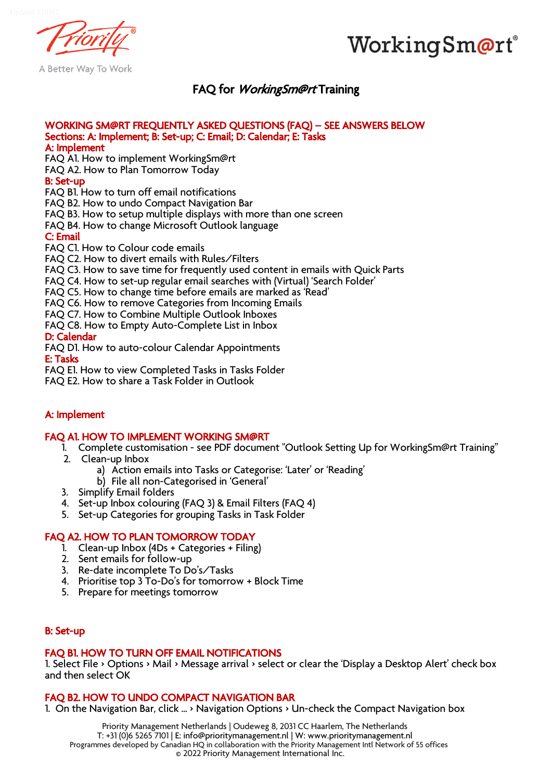



A Better Way To Work

# FAQ for *WorkingSm@rt* Training

#### WORKING SM@RT FREQUENTLY ASKED QUESTIONS (FAQ) – SEE ANSWERS BELOW Sections: A: Implement; B: Set-up; C: Email; D: Calendar; E: Tasks A: Implement

FAQ A1. How to implement WorkingSm@rt

FAQ A2. How to Plan Tomorrow Today

## B: Set-up

FAQ B1. How to turn off email notifications

FAQ B2. How to undo Compact Navigation Bar

FAQ B3. How to setup multiple displays with more than one screen

FAQ B4. How to change Microsoft Outlook language

C: Email

FAQ C1. How to Colour code emails

FAQ C2. How to divert emails with Rules/Filters

FAQ C3. How to save time for frequently used content in emails with Quick Parts

FAQ C4. How to set-up regular email searches with (Virtual) 'Search Folder'

FAQ C5. How to change time before emails are marked as 'Read'

FAQ C6. How to remove Categories from Incoming Emails

FAQ C7. How to Combine Multiple Outlook Inboxes

FAQ C8. How to Empty Auto-Complete List in Inbox

## D: Calendar

FAQ D1. How to auto-colour Calendar Appointments

E: Tasks

FAQ E1. How to view Completed Tasks in Tasks Folder

FAQ E2. How to share a Task Folder in Outlook

# A: Implement

## FAQ A1. HOW TO IMPLEMENT WORKING SM@RT

- 1. Complete customisation see PDF document "Outlook Setting Up for WorkingSm@rt Training"
- 2. Clean-up Inbox
	- a) Action emails into Tasks or Categorise: 'Later' or 'Reading'
	- b) File all non-Categorised in 'General'
- 3. Simplify Email folders
- 4. Set-up Inbox colouring (FAQ 3) & Email Filters (FAQ 4)
- 5. Set-up Categories for grouping Tasks in Task Folder

## FAQ A2. HOW TO PLAN TOMORROW TODAY

- 1. Clean-up Inbox (4Ds + Categories + Filing)
- 2. Sent emails for follow-up
- 3. Re-date incomplete To Do's/Tasks
- 4. Prioritise top 3 To-Do's for tomorrow + Block Time
- 5. Prepare for meetings tomorrow

## B: Set-up

## FAQ B1. HOW TO TURN OFF EMAIL NOTIFICATIONS

1. Select File > Options > Mail > Message arrival > select or clear the 'Display a Desktop Alert' check box and then select OK

## FAQ B2. HOW TO UNDO COMPACT NAVIGATION BAR

1. On the Navigation Bar, click ... > Navigation Options > Un-check the Compact Navigation box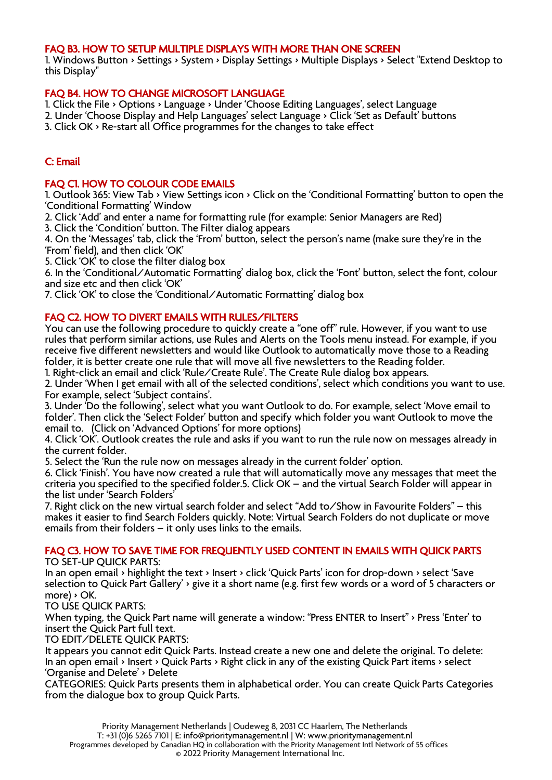## FAQ B3. HOW TO SETUP MULTIPLE DISPLAYS WITH MORE THAN ONE SCREEN

1. Windows Button > Settings > System > Display Settings > Multiple Displays > Select "Extend Desktop to this Display"

## FAQ B4. HOW TO CHANGE MICROSOFT LANGUAGE

1. Click the File > Options > Language > Under 'Choose Editing Languages', select Language

2. Under 'Choose Display and Help Languages' select Language > Click 'Set as Default' buttons

3. Click OK > Re-start all Office programmes for the changes to take effect

## C: Email

## FAQ C1. HOW TO COLOUR CODE EMAILS

1. Outlook 365: View Tab > View Settings icon > Click on the 'Conditional Formatting' button to open the 'Conditional Formatting' Window

2. Click 'Add' and enter a name for formatting rule (for example: Senior Managers are Red)

3. Click the 'Condition' button. The Filter dialog appears

4. On the 'Messages' tab, click the 'From' button, select the person's name (make sure they're in the 'From' field), and then click 'OK'

5. Click 'OK' to close the filter dialog box

6. In the 'Conditional/Automatic Formatting' dialog box, click the 'Font' button, select the font, colour and size etc and then click 'OK'

7. Click 'OK' to close the 'Conditional/Automatic Formatting' dialog box

## FAQ C2. HOW TO DIVERT EMAILS WITH RULES/FILTERS

You can use the following procedure to quickly create a "one off" rule. However, if you want to use rules that perform similar actions, use Rules and Alerts on the Tools menu instead. For example, if you receive five different newsletters and would like Outlook to automatically move those to a Reading folder, it is better create one rule that will move all five newsletters to the Reading folder.

1. Right-click an email and click 'Rule/Create Rule'. The Create Rule dialog box appears.

2. Under 'When I get email with all of the selected conditions', select which conditions you want to use. For example, select 'Subject contains'.

3. Under 'Do the following', select what you want Outlook to do. For example, select 'Move email to folder'. Then click the 'Select Folder' button and specify which folder you want Outlook to move the email to. (Click on 'Advanced Options' for more options)

4. Click 'OK'. Outlook creates the rule and asks if you want to run the rule now on messages already in the current folder.

5. Select the 'Run the rule now on messages already in the current folder' option.

6. Click 'Finish'. You have now created a rule that will automatically move any messages that meet the criteria you specified to the specified folder.5. Click OK – and the virtual Search Folder will appear in the list under 'Search Folders'

7. Right click on the new virtual search folder and select "Add to/Show in Favourite Folders" – this makes it easier to find Search Folders quickly. Note: Virtual Search Folders do not duplicate or move emails from their folders – it only uses links to the emails.

## FAQ C3. HOW TO SAVE TIME FOR FREQUENTLY USED CONTENT IN EMAILS WITH QUICK PARTS

TO SET-UP QUICK PARTS:

In an open email > highlight the text > Insert > click 'Quick Parts' icon for drop-down > select 'Save selection to Quick Part Gallery' > give it a short name (e.g. first few words or a word of 5 characters or more) > OK.

TO USE QUICK PARTS:

When typing, the Quick Part name will generate a window: "Press ENTER to Insert" > Press 'Enter' to insert the Quick Part full text.

TO EDIT/DELETE QUICK PARTS:

It appears you cannot edit Quick Parts. Instead create a new one and delete the original. To delete: In an open email > Insert > Quick Parts > Right click in any of the existing Quick Part items > select 'Organise and Delete' > Delete

CATEGORIES: Quick Parts presents them in alphabetical order. You can create Quick Parts Categories from the dialogue box to group Quick Parts.